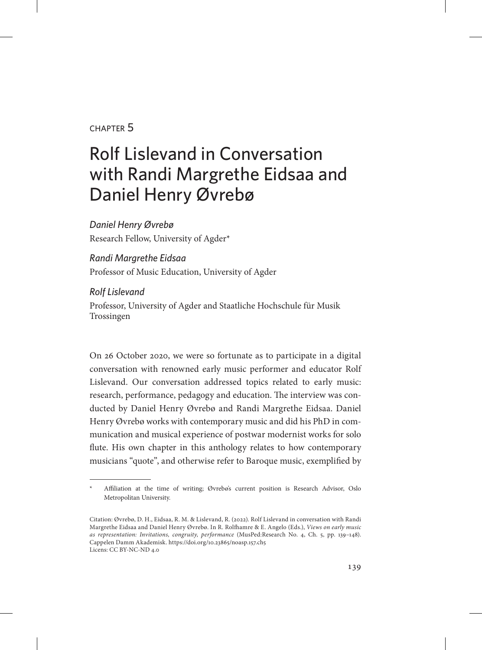## chapter 5

## Rolf Lislevand in Conversation with Randi Margrethe Eidsaa and Daniel Henry Øvrebø

*Daniel Henry Øvrebø* Research Fellow, University of Agder\*

*Randi Margrethe Eidsaa* Professor of Music Education, University of Agder

*Rolf Lislevand* Professor, University of Agder and Staatliche Hochschule für Musik Trossingen

On 26 October 2020, we were so fortunate as to participate in a digital conversation with renowned early music performer and educator Rolf Lislevand. Our conversation addressed topics related to early music: research, performance, pedagogy and education. The interview was conducted by Daniel Henry Øvrebø and Randi Margrethe Eidsaa. Daniel Henry Øvrebø works with contemporary music and did his PhD in communication and musical experience of postwar modernist works for solo flute. His own chapter in this anthology relates to how contemporary musicians "quote", and otherwise refer to Baroque music, exemplified by

Affiliation at the time of writing; Øvrebø's current position is Research Advisor, Oslo Metropolitan University.

Citation: Øvrebø, D. H., Eidsaa, R. M. & Lislevand, R. (2022). Rolf Lislevand in conversation with Randi Margrethe Eidsaa and Daniel Henry Øvrebø. In R. Rolfhamre & E. Angelo (Eds.), *Views on early music as representation: Invitations, congruity, performance* (MusPed:Research No. 4, Ch. 5, pp. 139–148). Cappelen Damm Akademisk. https://doi.org/10.23865/noasp.157.ch5 Licens: CC BY-NC-ND 4.0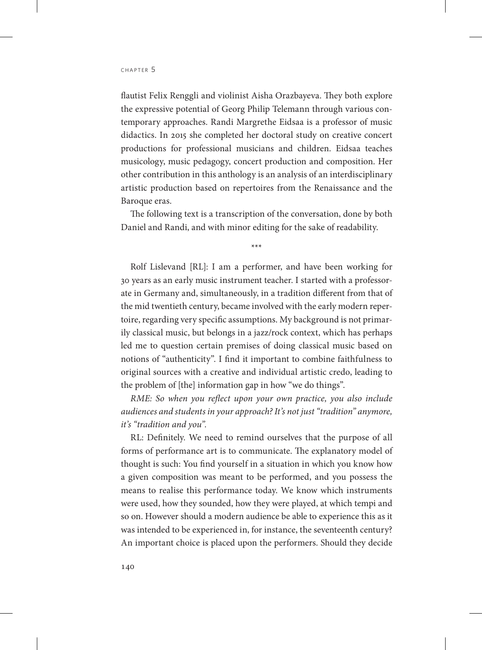flautist Felix Renggli and violinist Aisha Orazbayeva. They both explore the expressive potential of Georg Philip Telemann through various contemporary approaches. Randi Margrethe Eidsaa is a professor of music didactics. In 2015 she completed her doctoral study on creative concert productions for professional musicians and children. Eidsaa teaches musicology, music pedagogy, concert production and composition. Her other contribution in this anthology is an analysis of an interdisciplinary artistic production based on repertoires from the Renaissance and the Baroque eras.

The following text is a transcription of the conversation, done by both Daniel and Randi, and with minor editing for the sake of readability.

\*\*\*

Rolf Lislevand [RL]: I am a performer, and have been working for 30 years as an early music instrument teacher. I started with a professorate in Germany and, simultaneously, in a tradition different from that of the mid twentieth century, became involved with the early modern repertoire, regarding very specific assumptions. My background is not primarily classical music, but belongs in a jazz/rock context, which has perhaps led me to question certain premises of doing classical music based on notions of "authenticity". I find it important to combine faithfulness to original sources with a creative and individual artistic credo, leading to the problem of [the] information gap in how "we do things".

*RME: So when you reflect upon your own practice, you also include audiences and students in your approach? It's not just "tradition" anymore, it's "tradition and you".*

RL: Definitely. We need to remind ourselves that the purpose of all forms of performance art is to communicate. The explanatory model of thought is such: You find yourself in a situation in which you know how a given composition was meant to be performed, and you possess the means to realise this performance today. We know which instruments were used, how they sounded, how they were played, at which tempi and so on. However should a modern audience be able to experience this as it was intended to be experienced in, for instance, the seventeenth century? An important choice is placed upon the performers. Should they decide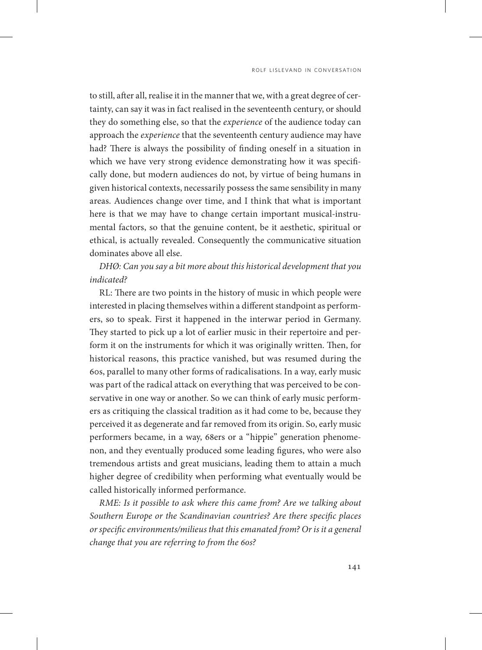to still, after all, realise it in the manner that we, with a great degree of certainty, can say it was in fact realised in the seventeenth century, or should they do something else, so that the *experience* of the audience today can approach the *experience* that the seventeenth century audience may have had? There is always the possibility of finding oneself in a situation in which we have very strong evidence demonstrating how it was specifically done, but modern audiences do not, by virtue of being humans in given historical contexts, necessarily possess the same sensibility in many areas. Audiences change over time, and I think that what is important here is that we may have to change certain important musical-instrumental factors, so that the genuine content, be it aesthetic, spiritual or ethical, is actually revealed. Consequently the communicative situation dominates above all else.

## *DHØ: Can you say a bit more about this historical development that you indicated?*

RL: There are two points in the history of music in which people were interested in placing themselves within a different standpoint as performers, so to speak. First it happened in the interwar period in Germany. They started to pick up a lot of earlier music in their repertoire and perform it on the instruments for which it was originally written. Then, for historical reasons, this practice vanished, but was resumed during the 60s, parallel to many other forms of radicalisations. In a way, early music was part of the radical attack on everything that was perceived to be conservative in one way or another. So we can think of early music performers as critiquing the classical tradition as it had come to be, because they perceived it as degenerate and far removed from its origin. So, early music performers became, in a way, 68ers or a "hippie" generation phenomenon, and they eventually produced some leading figures, who were also tremendous artists and great musicians, leading them to attain a much higher degree of credibility when performing what eventually would be called historically informed performance.

*RME: Is it possible to ask where this came from? Are we talking about Southern Europe or the Scandinavian countries? Are there specific places or specific environments/milieus that this emanated from? Or is it a general change that you are referring to from the 60s?*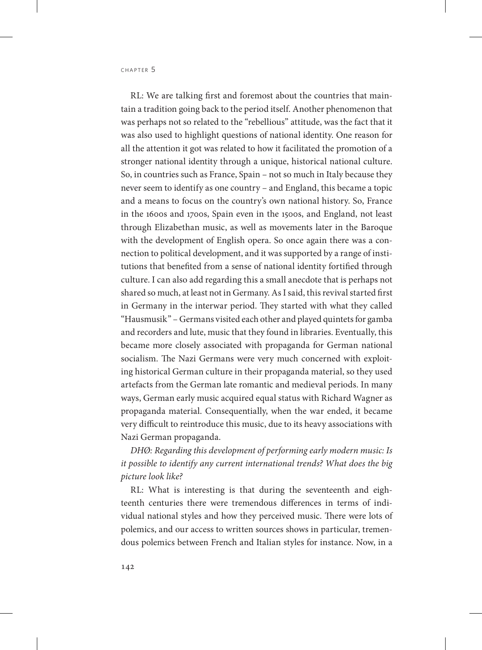RL: We are talking first and foremost about the countries that maintain a tradition going back to the period itself. Another phenomenon that was perhaps not so related to the "rebellious" attitude, was the fact that it was also used to highlight questions of national identity. One reason for all the attention it got was related to how it facilitated the promotion of a stronger national identity through a unique, historical national culture. So, in countries such as France, Spain – not so much in Italy because they never seem to identify as one country – and England, this became a topic and a means to focus on the country's own national history. So, France in the 1600s and 1700s, Spain even in the 1500s, and England, not least through Elizabethan music, as well as movements later in the Baroque with the development of English opera. So once again there was a connection to political development, and it was supported by a range of institutions that benefited from a sense of national identity fortified through culture. I can also add regarding this a small anecdote that is perhaps not shared so much, at least not in Germany. As I said, this revival started first in Germany in the interwar period. They started with what they called "Hausmusik" – Germans visited each other and played quintets for gamba and recorders and lute, music that they found in libraries. Eventually, this became more closely associated with propaganda for German national socialism. The Nazi Germans were very much concerned with exploiting historical German culture in their propaganda material, so they used artefacts from the German late romantic and medieval periods. In many ways, German early music acquired equal status with Richard Wagner as propaganda material. Consequentially, when the war ended, it became very difficult to reintroduce this music, due to its heavy associations with Nazi German propaganda.

*DHØ: Regarding this development of performing early modern music: Is it possible to identify any current international trends? What does the big picture look like?*

RL: What is interesting is that during the seventeenth and eighteenth centuries there were tremendous differences in terms of individual national styles and how they perceived music. There were lots of polemics, and our access to written sources shows in particular, tremendous polemics between French and Italian styles for instance. Now, in a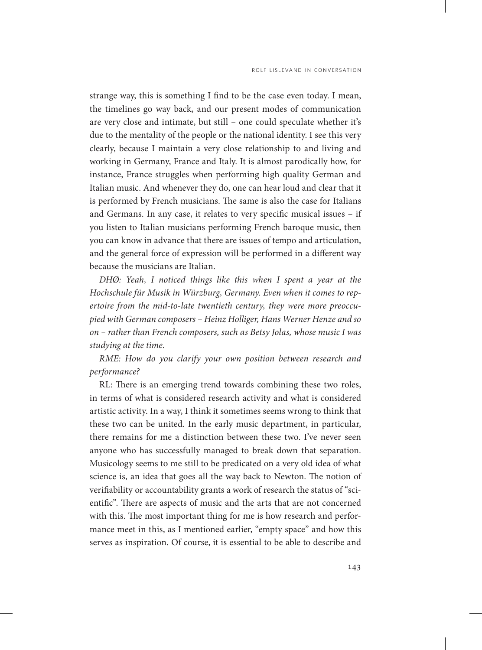strange way, this is something I find to be the case even today. I mean, the timelines go way back, and our present modes of communication are very close and intimate, but still – one could speculate whether it's due to the mentality of the people or the national identity. I see this very clearly, because I maintain a very close relationship to and living and working in Germany, France and Italy. It is almost parodically how, for instance, France struggles when performing high quality German and Italian music. And whenever they do, one can hear loud and clear that it is performed by French musicians. The same is also the case for Italians and Germans. In any case, it relates to very specific musical issues – if you listen to Italian musicians performing French baroque music, then you can know in advance that there are issues of tempo and articulation, and the general force of expression will be performed in a different way because the musicians are Italian.

*DHØ: Yeah, I noticed things like this when I spent a year at the Hochschule für Musik in Würzburg, Germany. Even when it comes to repertoire from the mid-to-late twentieth century, they were more preoccupied with German composers – Heinz Holliger, Hans Werner Henze and so on – rather than French composers, such as Betsy Jolas, whose music I was studying at the time.*

*RME: How do you clarify your own position between research and performance?*

RL: There is an emerging trend towards combining these two roles, in terms of what is considered research activity and what is considered artistic activity. In a way, I think it sometimes seems wrong to think that these two can be united. In the early music department, in particular, there remains for me a distinction between these two. I've never seen anyone who has successfully managed to break down that separation. Musicology seems to me still to be predicated on a very old idea of what science is, an idea that goes all the way back to Newton. The notion of verifiability or accountability grants a work of research the status of "scientific". There are aspects of music and the arts that are not concerned with this. The most important thing for me is how research and performance meet in this, as I mentioned earlier, "empty space" and how this serves as inspiration. Of course, it is essential to be able to describe and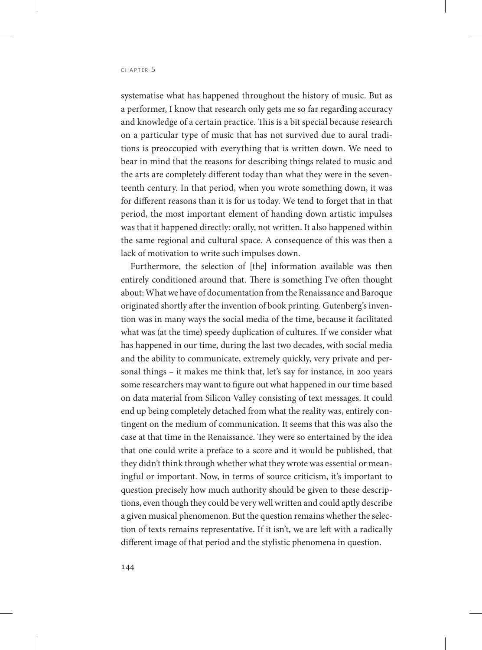systematise what has happened throughout the history of music. But as a performer, I know that research only gets me so far regarding accuracy and knowledge of a certain practice. This is a bit special because research on a particular type of music that has not survived due to aural traditions is preoccupied with everything that is written down. We need to bear in mind that the reasons for describing things related to music and the arts are completely different today than what they were in the seventeenth century. In that period, when you wrote something down, it was for different reasons than it is for us today. We tend to forget that in that period, the most important element of handing down artistic impulses was that it happened directly: orally, not written. It also happened within the same regional and cultural space. A consequence of this was then a lack of motivation to write such impulses down.

Furthermore, the selection of [the] information available was then entirely conditioned around that. There is something I've often thought about: What we have of documentation from the Renaissance and Baroque originated shortly after the invention of book printing. Gutenberg's invention was in many ways the social media of the time, because it facilitated what was (at the time) speedy duplication of cultures. If we consider what has happened in our time, during the last two decades, with social media and the ability to communicate, extremely quickly, very private and personal things – it makes me think that, let's say for instance, in 200 years some researchers may want to figure out what happened in our time based on data material from Silicon Valley consisting of text messages. It could end up being completely detached from what the reality was, entirely contingent on the medium of communication. It seems that this was also the case at that time in the Renaissance. They were so entertained by the idea that one could write a preface to a score and it would be published, that they didn't think through whether what they wrote was essential or meaningful or important. Now, in terms of source criticism, it's important to question precisely how much authority should be given to these descriptions, even though they could be very well written and could aptly describe a given musical phenomenon. But the question remains whether the selection of texts remains representative. If it isn't, we are left with a radically different image of that period and the stylistic phenomena in question.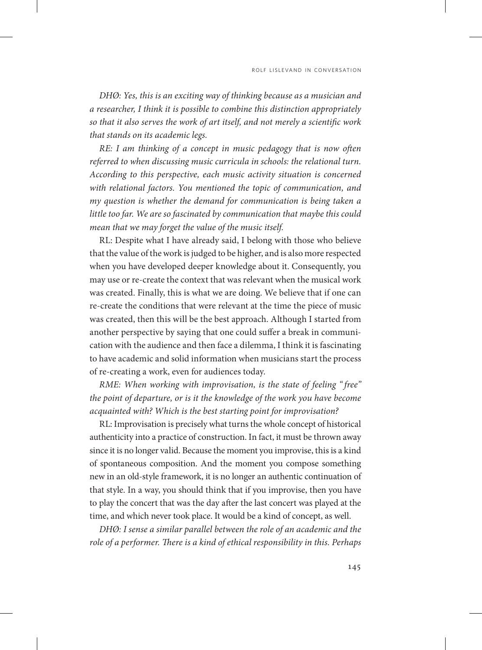*DHØ: Yes, this is an exciting way of thinking because as a musician and a researcher, I think it is possible to combine this distinction appropriately so that it also serves the work of art itself, and not merely a scientific work that stands on its academic legs.*

*RE: I am thinking of a concept in music pedagogy that is now often referred to when discussing music curricula in schools: the relational turn. According to this perspective, each music activity situation is concerned with relational factors. You mentioned the topic of communication, and my question is whether the demand for communication is being taken a little too far. We are so fascinated by communication that maybe this could mean that we may forget the value of the music itself.* 

RL: Despite what I have already said, I belong with those who believe that the value of the work is judged to be higher, and is also more respected when you have developed deeper knowledge about it. Consequently, you may use or re-create the context that was relevant when the musical work was created. Finally, this is what we are doing. We believe that if one can re-create the conditions that were relevant at the time the piece of music was created, then this will be the best approach. Although I started from another perspective by saying that one could suffer a break in communication with the audience and then face a dilemma, I think it is fascinating to have academic and solid information when musicians start the process of re-creating a work, even for audiences today.

*RME: When working with improvisation, is the state of feeling " free" the point of departure, or is it the knowledge of the work you have become acquainted with? Which is the best starting point for improvisation?*

RL: Improvisation is precisely what turns the whole concept of historical authenticity into a practice of construction. In fact, it must be thrown away since it is no longer valid. Because the moment you improvise, this is a kind of spontaneous composition. And the moment you compose something new in an old-style framework, it is no longer an authentic continuation of that style. In a way, you should think that if you improvise, then you have to play the concert that was the day after the last concert was played at the time, and which never took place. It would be a kind of concept, as well.

*DHØ: I sense a similar parallel between the role of an academic and the role of a performer. There is a kind of ethical responsibility in this. Perhaps*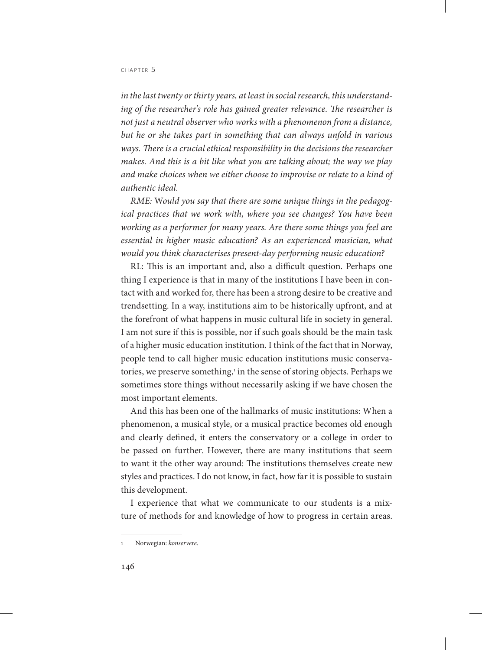*in the last twenty or thirty years, at least in social research, this understanding of the researcher's role has gained greater relevance. The researcher is not just a neutral observer who works with a phenomenon from a distance, but he or she takes part in something that can always unfold in various ways. There is a crucial ethical responsibility in the decisions the researcher makes. And this is a bit like what you are talking about; the way we play and make choices when we either choose to improvise or relate to a kind of authentic ideal.*

*RME:* W*ould you say that there are some unique things in the pedagogical practices that we work with, where you see changes? You have been working as a performer for many years. Are there some things you feel are essential in higher music education? As an experienced musician, what would you think characterises present-day performing music education?*

RL: This is an important and, also a difficult question. Perhaps one thing I experience is that in many of the institutions I have been in contact with and worked for, there has been a strong desire to be creative and trendsetting. In a way, institutions aim to be historically upfront, and at the forefront of what happens in music cultural life in society in general. I am not sure if this is possible, nor if such goals should be the main task of a higher music education institution. I think of the fact that in Norway, people tend to call higher music education institutions music conservatories, we preserve something,<sup>1</sup> in the sense of storing objects. Perhaps we sometimes store things without necessarily asking if we have chosen the most important elements.

And this has been one of the hallmarks of music institutions: When a phenomenon, a musical style, or a musical practice becomes old enough and clearly defined, it enters the conservatory or a college in order to be passed on further. However, there are many institutions that seem to want it the other way around: The institutions themselves create new styles and practices. I do not know, in fact, how far it is possible to sustain this development.

I experience that what we communicate to our students is a mixture of methods for and knowledge of how to progress in certain areas.

<sup>1</sup> Norwegian: *konservere*.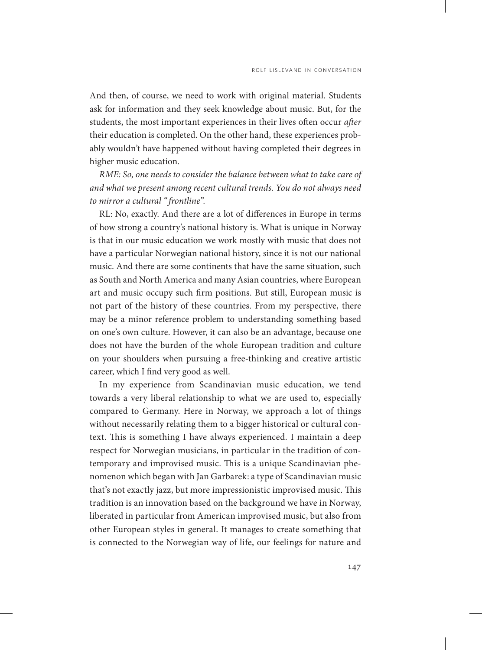And then, of course, we need to work with original material. Students ask for information and they seek knowledge about music. But, for the students, the most important experiences in their lives often occur *after* their education is completed. On the other hand, these experiences probably wouldn't have happened without having completed their degrees in higher music education.

*RME: So, one needs to consider the balance between what to take care of and what we present among recent cultural trends. You do not always need to mirror a cultural " frontline".*

RL: No, exactly. And there are a lot of differences in Europe in terms of how strong a country's national history is. What is unique in Norway is that in our music education we work mostly with music that does not have a particular Norwegian national history, since it is not our national music. And there are some continents that have the same situation, such as South and North America and many Asian countries, where European art and music occupy such firm positions. But still, European music is not part of the history of these countries. From my perspective, there may be a minor reference problem to understanding something based on one's own culture. However, it can also be an advantage, because one does not have the burden of the whole European tradition and culture on your shoulders when pursuing a free-thinking and creative artistic career, which I find very good as well.

In my experience from Scandinavian music education, we tend towards a very liberal relationship to what we are used to, especially compared to Germany. Here in Norway, we approach a lot of things without necessarily relating them to a bigger historical or cultural context. This is something I have always experienced. I maintain a deep respect for Norwegian musicians, in particular in the tradition of contemporary and improvised music. This is a unique Scandinavian phenomenon which began with Jan Garbarek: a type of Scandinavian music that's not exactly jazz, but more impressionistic improvised music. This tradition is an innovation based on the background we have in Norway, liberated in particular from American improvised music, but also from other European styles in general. It manages to create something that is connected to the Norwegian way of life, our feelings for nature and